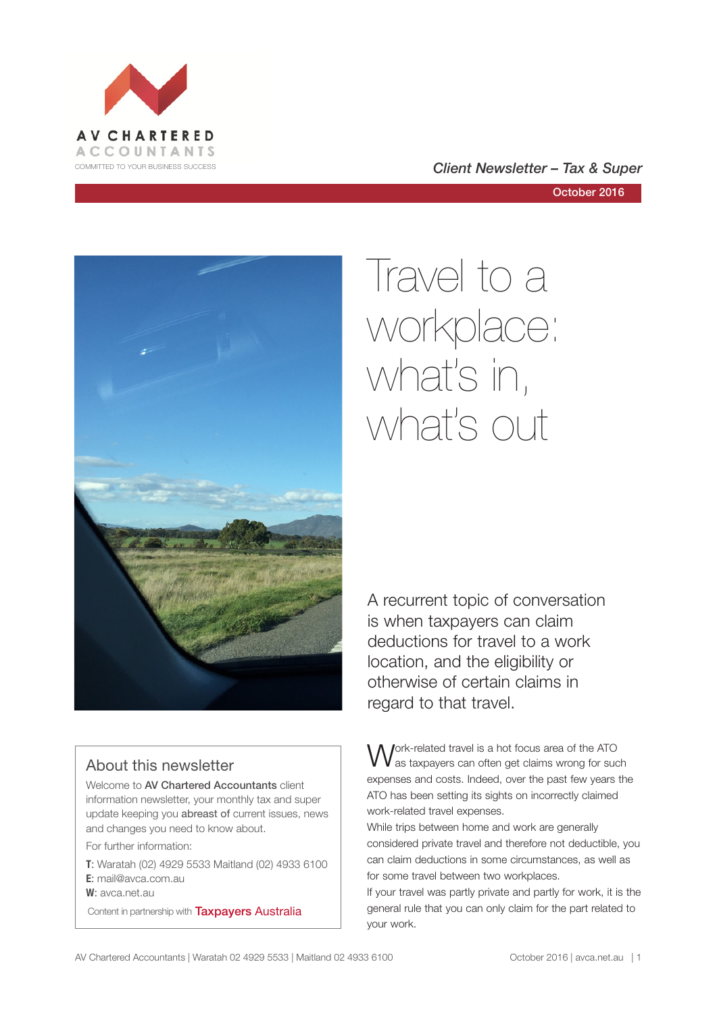

# COMMITTED TO YOUR BUSINESS SUCCESS **COMMITTED TO YOUR BUSINESS SUCCESS**



# About this newsletter

Welcome to AV Chartered Accountants client information newsletter, your monthly tax and super update keeping you abreast of current issues, news and changes you need to know about.

For further information:

**T**: Waratah (02) 4929 5533 Maitland (02) 4933 6100 **E**: mail@avca.com.au

**W**: avca.net.au

Content in partnership with **Taxpayers Australia** 

# Travel to a workplace: what's in, what's out

A recurrent topic of conversation is when taxpayers can claim deductions for travel to a work location, and the eligibility or otherwise of certain claims in regard to that travel.

Jork-related travel is a hot focus area of the ATO as taxpayers can often get claims wrong for such expenses and costs. Indeed, over the past few years the ATO has been setting its sights on incorrectly claimed work-related travel expenses.

While trips between home and work are generally considered private travel and therefore not deductible, you can claim deductions in some circumstances, as well as for some travel between two workplaces.

If your travel was partly private and partly for work, it is the general rule that you can only claim for the part related to your work.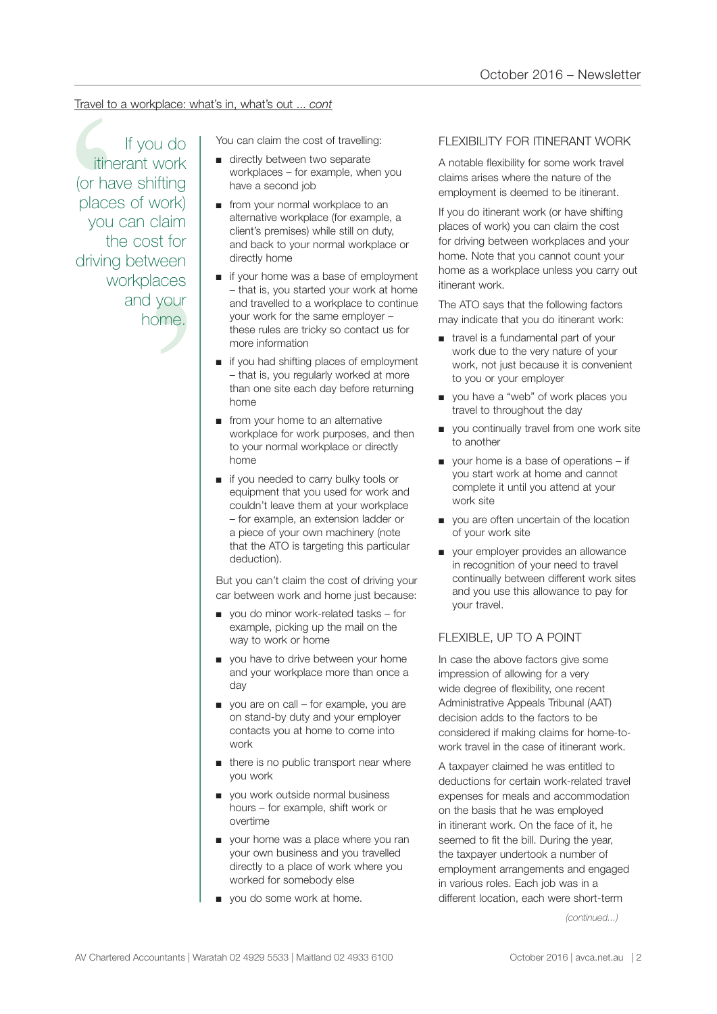# Travel to a workplace: what's in, what's out ... *cont*

claim<br>st for<br>veen<br>aces<br>your<br>nme.<br>me. Travel to a workplace: what's in, what's out ... cont<br>
If you do<br>
Triends the cost of travelling:<br>
Triends work the cost of travelling<br>
(or have shifting<br>
places of work)<br>
you can claim<br>
the cost for<br>
workplaces<br>
workplace If you do itinerant work (or have shifting places of work) you can claim the cost for driving between workplaces and your home.

- directly between two separate workplaces – for example, when you have a second job
- from your normal workplace to an alternative workplace (for example, a client's premises) while still on duty, and back to your normal workplace or directly home
- if your home was a base of employment – that is, you started your work at home and travelled to a workplace to continue your work for the same employer – these rules are tricky so contact us for more information
- if you had shifting places of employment – that is, you regularly worked at more than one site each day before returning home
- from your home to an alternative workplace for work purposes, and then to your normal workplace or directly home
- if you needed to carry bulky tools or equipment that you used for work and couldn't leave them at your workplace – for example, an extension ladder or a piece of your own machinery (note that the ATO is targeting this particular deduction).

But you can't claim the cost of driving your car between work and home just because:

- you do minor work-related tasks for example, picking up the mail on the way to work or home
- you have to drive between your home and your workplace more than once a day
- you are on call for example, you are on stand-by duty and your employer contacts you at home to come into work
- there is no public transport near where you work
- you work outside normal business hours – for example, shift work or overtime
- your home was a place where you ran your own business and you travelled directly to a place of work where you worked for somebody else
- you do some work at home.

# FLEXIBILITY FOR ITINERANT WORK

A notable flexibility for some work travel claims arises where the nature of the employment is deemed to be itinerant.

If you do itinerant work (or have shifting places of work) you can claim the cost for driving between workplaces and your home. Note that you cannot count your home as a workplace unless you carry out itinerant work.

The ATO says that the following factors may indicate that you do itinerant work:

- travel is a fundamental part of your work due to the very nature of your work, not just because it is convenient to you or your employer
- you have a "web" of work places you travel to throughout the day
- you continually travel from one work site to another
- your home is a base of operations if you start work at home and cannot complete it until you attend at your work site
- you are often uncertain of the location of your work site
- your employer provides an allowance in recognition of your need to travel continually between different work sites and you use this allowance to pay for your travel.

### FLEXIBLE, UP TO A POINT

In case the above factors give some impression of allowing for a very wide degree of flexibility, one recent Administrative Appeals Tribunal (AAT) decision adds to the factors to be considered if making claims for home-towork travel in the case of itinerant work.

A taxpayer claimed he was entitled to deductions for certain work-related travel expenses for meals and accommodation on the basis that he was employed in itinerant work. On the face of it, he seemed to fit the bill. During the year, the taxpayer undertook a number of employment arrangements and engaged in various roles. Each job was in a different location, each were short-term

*(continued...)*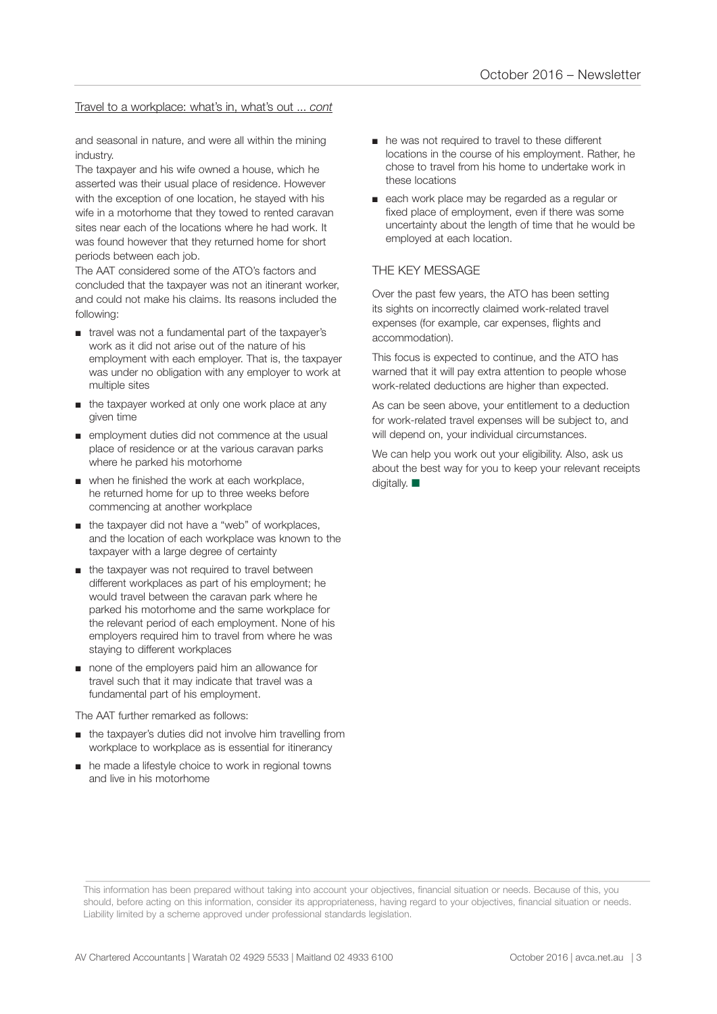#### Travel to a workplace: what's in, what's out ... *cont*

and seasonal in nature, and were all within the mining industry.

The taxpayer and his wife owned a house, which he asserted was their usual place of residence. However with the exception of one location, he stayed with his wife in a motorhome that they towed to rented caravan sites near each of the locations where he had work. It was found however that they returned home for short periods between each job.

The AAT considered some of the ATO's factors and concluded that the taxpayer was not an itinerant worker, and could not make his claims. Its reasons included the following:

- travel was not a fundamental part of the taxpayer's work as it did not arise out of the nature of his employment with each employer. That is, the taxpayer was under no obligation with any employer to work at multiple sites
- the taxpayer worked at only one work place at any given time
- employment duties did not commence at the usual place of residence or at the various caravan parks where he parked his motorhome
- when he finished the work at each workplace, he returned home for up to three weeks before commencing at another workplace
- the taxpayer did not have a "web" of workplaces, and the location of each workplace was known to the taxpayer with a large degree of certainty
- the taxpayer was not required to travel between different workplaces as part of his employment; he would travel between the caravan park where he parked his motorhome and the same workplace for the relevant period of each employment. None of his employers required him to travel from where he was staying to different workplaces
- none of the employers paid him an allowance for travel such that it may indicate that travel was a fundamental part of his employment.

The AAT further remarked as follows:

- the taxpayer's duties did not involve him travelling from workplace to workplace as is essential for itinerancy
- he made a lifestyle choice to work in regional towns and live in his motorhome
- he was not required to travel to these different locations in the course of his employment. Rather, he chose to travel from his home to undertake work in these locations
- each work place may be regarded as a regular or fixed place of employment, even if there was some uncertainty about the length of time that he would be employed at each location.

#### THE KEY MESSAGE

Over the past few years, the ATO has been setting its sights on incorrectly claimed work-related travel expenses (for example, car expenses, flights and accommodation).

This focus is expected to continue, and the ATO has warned that it will pay extra attention to people whose work-related deductions are higher than expected.

As can be seen above, your entitlement to a deduction for work-related travel expenses will be subject to, and will depend on, your individual circumstances.

We can help you work out your eligibility. Also, ask us about the best way for you to keep your relevant receipts digitally.  $\blacksquare$ 

This information has been prepared without taking into account your objectives, financial situation or needs. Because of this, you should, before acting on this information, consider its appropriateness, having regard to your objectives, financial situation or needs. Liability limited by a scheme approved under professional standards legislation.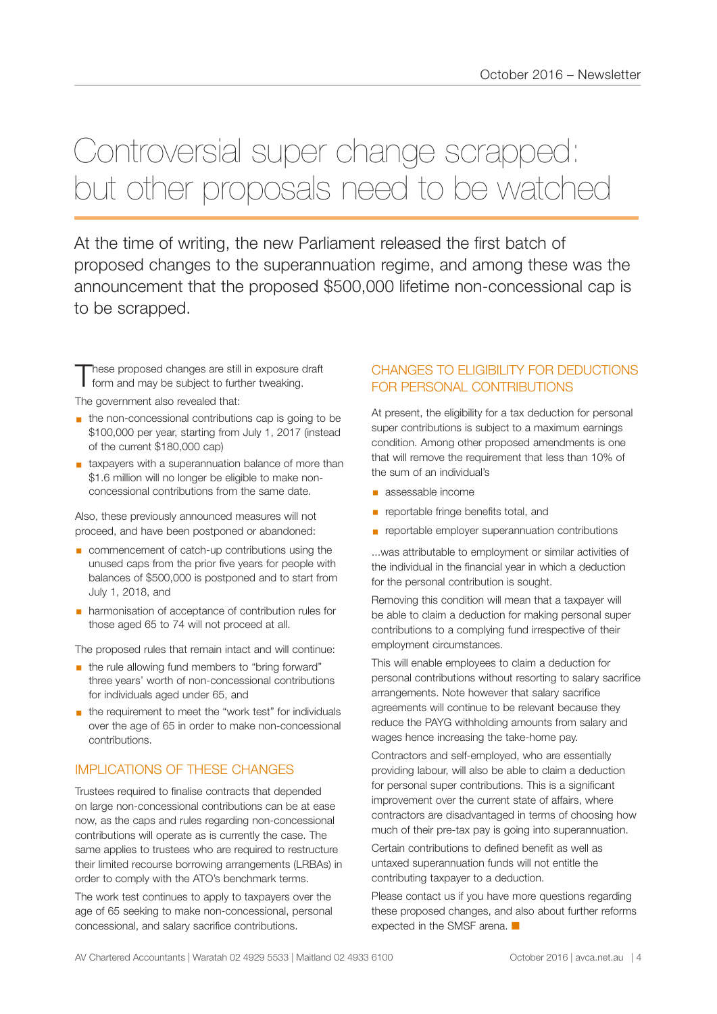# Controversial super change scrapped: but other proposals need to be watched

At the time of writing, the new Parliament released the first batch of proposed changes to the superannuation regime, and among these was the announcement that the proposed \$500,000 lifetime non-concessional cap is to be scrapped.

These proposed changes are still in exposure draft<br>
form and may be subject to further tweaking.

The government also revealed that:

- the non-concessional contributions cap is going to be \$100,000 per year, starting from July 1, 2017 (instead of the current \$180,000 cap)
- taxpayers with a superannuation balance of more than \$1.6 million will no longer be eligible to make nonconcessional contributions from the same date.

Also, these previously announced measures will not proceed, and have been postponed or abandoned:

- commencement of catch-up contributions using the unused caps from the prior five years for people with balances of \$500,000 is postponed and to start from July 1, 2018, and
- harmonisation of acceptance of contribution rules for those aged 65 to 74 will not proceed at all.

The proposed rules that remain intact and will continue:

- **■** the rule allowing fund members to "bring forward" three years' worth of non-concessional contributions for individuals aged under 65, and
- the requirement to meet the "work test" for individuals over the age of 65 in order to make non-concessional contributions.

# IMPLICATIONS OF THESE CHANGES

Trustees required to finalise contracts that depended on large non-concessional contributions can be at ease now, as the caps and rules regarding non-concessional contributions will operate as is currently the case. The same applies to trustees who are required to restructure their limited recourse borrowing arrangements (LRBAs) in order to comply with the ATO's benchmark terms.

The work test continues to apply to taxpayers over the age of 65 seeking to make non-concessional, personal concessional, and salary sacrifice contributions.

# CHANGES TO ELIGIBILITY FOR DEDUCTIONS FOR PERSONAL CONTRIBUTIONS

At present, the eligibility for a tax deduction for personal super contributions is subject to a maximum earnings condition. Among other proposed amendments is one that will remove the requirement that less than 10% of the sum of an individual's

- assessable income
- **•** reportable fringe benefits total, and
- **EX reportable employer superannuation contributions**

...was attributable to employment or similar activities of the individual in the financial year in which a deduction for the personal contribution is sought.

Removing this condition will mean that a taxpayer will be able to claim a deduction for making personal super contributions to a complying fund irrespective of their employment circumstances.

This will enable employees to claim a deduction for personal contributions without resorting to salary sacrifice arrangements. Note however that salary sacrifice agreements will continue to be relevant because they reduce the PAYG withholding amounts from salary and wages hence increasing the take-home pay.

Contractors and self-employed, who are essentially providing labour, will also be able to claim a deduction for personal super contributions. This is a significant improvement over the current state of affairs, where contractors are disadvantaged in terms of choosing how much of their pre-tax pay is going into superannuation.

Certain contributions to defined benefit as well as untaxed superannuation funds will not entitle the contributing taxpayer to a deduction.

Please contact us if you have more questions regarding these proposed changes, and also about further reforms expected in the SMSF arena.  $\blacksquare$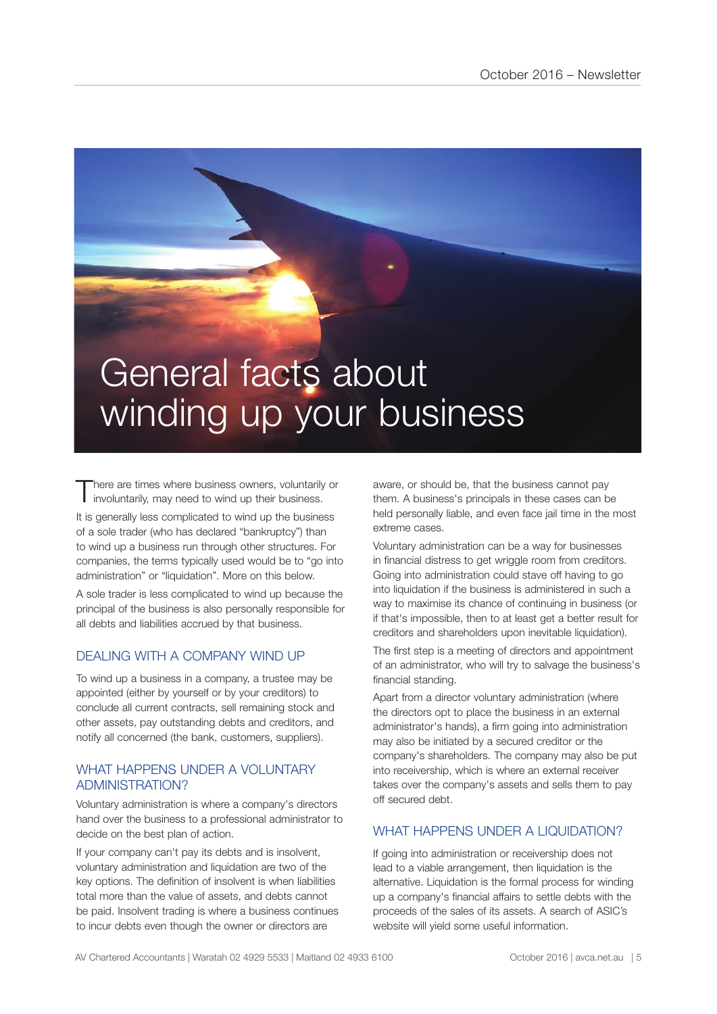# General facts about winding up your business

There are times where business owners, voluntarily or involuntarily, may need to wind up their business.

It is generally less complicated to wind up the business of a sole trader (who has declared "bankruptcy") than to wind up a business run through other structures. For companies, the terms typically used would be to "go into administration" or "liquidation". More on this below.

A sole trader is less complicated to wind up because the principal of the business is also personally responsible for all debts and liabilities accrued by that business.

# DEALING WITH A COMPANY WIND UP

To wind up a business in a company, a trustee may be appointed (either by yourself or by your creditors) to conclude all current contracts, sell remaining stock and other assets, pay outstanding debts and creditors, and notify all concerned (the bank, customers, suppliers).

### WHAT HAPPENS UNDER A VOLUNTARY ADMINISTRATION?

Voluntary administration is where a company's directors hand over the business to a professional administrator to decide on the best plan of action.

If your company can't pay its debts and is insolvent, voluntary administration and liquidation are two of the key options. The definition of insolvent is when liabilities total more than the value of assets, and debts cannot be paid. Insolvent trading is where a business continues to incur debts even though the owner or directors are

aware, or should be, that the business cannot pay them. A business's principals in these cases can be held personally liable, and even face jail time in the most extreme cases.

Voluntary administration can be a way for businesses in financial distress to get wriggle room from creditors. Going into administration could stave off having to go into liquidation if the business is administered in such a way to maximise its chance of continuing in business (or if that's impossible, then to at least get a better result for creditors and shareholders upon inevitable liquidation).

The first step is a meeting of directors and appointment of an administrator, who will try to salvage the business's financial standing.

Apart from a director voluntary administration (where the directors opt to place the business in an external administrator's hands), a firm going into administration may also be initiated by a secured creditor or the company's shareholders. The company may also be put into receivership, which is where an external receiver takes over the company's assets and sells them to pay off secured debt.

# WHAT HAPPENS UNDER A LIQUIDATION?

If going into administration or receivership does not lead to a viable arrangement, then liquidation is the alternative. Liquidation is the formal process for winding up a company's financial affairs to settle debts with the proceeds of the sales of its assets. A search of ASIC's website will yield some useful information.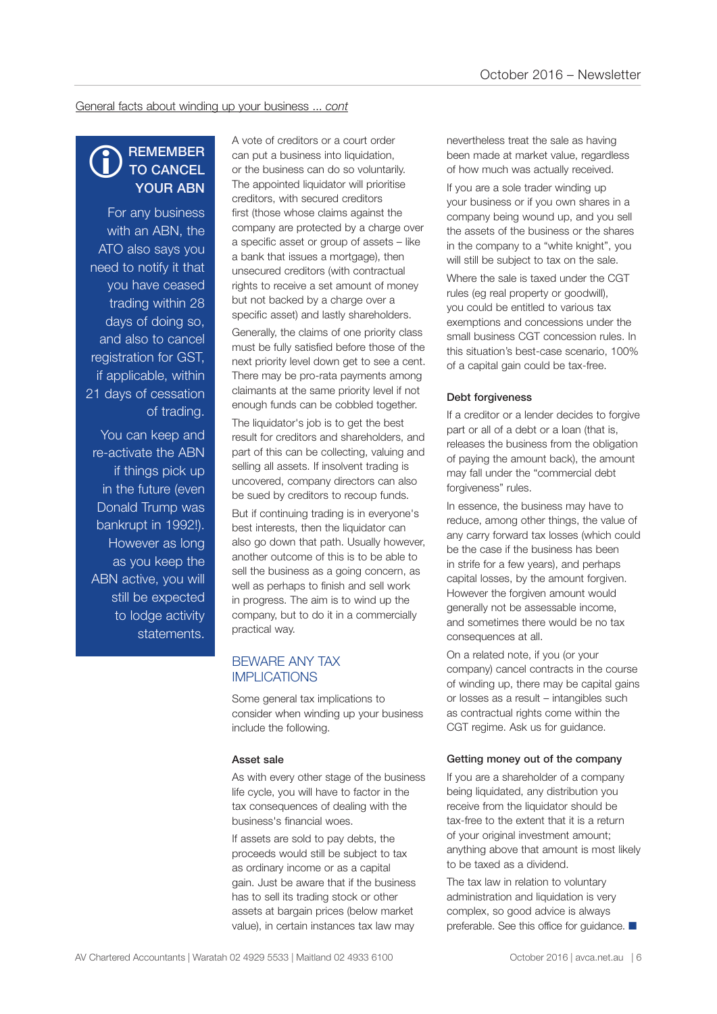General facts about winding up your business ... *cont*

#### **REMEMBER** TO CANCEL YOUR ABN  $\bigcirc$

For any business with an ABN, the ATO also says you need to notify it that you have ceased trading within 28 days of doing so, and also to cancel registration for GST, if applicable, within 21 days of cessation of trading.

You can keep and re-activate the ABN if things pick up in the future (even Donald Trump was bankrupt in 1992!). However as long as you keep the ABN active, you will still be expected to lodge activity statements.

A vote of creditors or a court order can put a business into liquidation, or the business can do so voluntarily. The appointed liquidator will prioritise creditors, with secured creditors first (those whose claims against the company are protected by a charge over a specific asset or group of assets – like a bank that issues a mortgage), then unsecured creditors (with contractual rights to receive a set amount of money but not backed by a charge over a specific asset) and lastly shareholders.

Generally, the claims of one priority class must be fully satisfied before those of the next priority level down get to see a cent. There may be pro-rata payments among claimants at the same priority level if not enough funds can be cobbled together.

The liquidator's job is to get the best result for creditors and shareholders, and part of this can be collecting, valuing and selling all assets. If insolvent trading is uncovered, company directors can also be sued by creditors to recoup funds.

But if continuing trading is in everyone's best interests, then the liquidator can also go down that path. Usually however, another outcome of this is to be able to sell the business as a going concern, as well as perhaps to finish and sell work in progress. The aim is to wind up the company, but to do it in a commercially practical way.

### BEWARE ANY TAX IMPLICATIONS

Some general tax implications to consider when winding up your business include the following.

#### Asset sale

As with every other stage of the business life cycle, you will have to factor in the tax consequences of dealing with the business's financial woes.

If assets are sold to pay debts, the proceeds would still be subject to tax as ordinary income or as a capital gain. Just be aware that if the business has to sell its trading stock or other assets at bargain prices (below market value), in certain instances tax law may

nevertheless treat the sale as having been made at market value, regardless of how much was actually received.

If you are a sole trader winding up your business or if you own shares in a company being wound up, and you sell the assets of the business or the shares in the company to a "white knight", you will still be subject to tax on the sale.

Where the sale is taxed under the CGT rules (eg real property or goodwill), you could be entitled to various tax exemptions and concessions under the small business CGT concession rules. In this situation's best-case scenario, 100% of a capital gain could be tax-free.

#### Debt forgiveness

If a creditor or a lender decides to forgive part or all of a debt or a loan (that is, releases the business from the obligation of paying the amount back), the amount may fall under the "commercial debt forgiveness" rules.

In essence, the business may have to reduce, among other things, the value of any carry forward tax losses (which could be the case if the business has been in strife for a few years), and perhaps capital losses, by the amount forgiven. However the forgiven amount would generally not be assessable income, and sometimes there would be no tax consequences at all.

On a related note, if you (or your company) cancel contracts in the course of winding up, there may be capital gains or losses as a result – intangibles such as contractual rights come within the CGT regime. Ask us for guidance.

#### Getting money out of the company

If you are a shareholder of a company being liquidated, any distribution you receive from the liquidator should be tax-free to the extent that it is a return of your original investment amount; anything above that amount is most likely to be taxed as a dividend.

The tax law in relation to voluntary administration and liquidation is very complex, so good advice is always preferable. See this office for guidance.  $\blacksquare$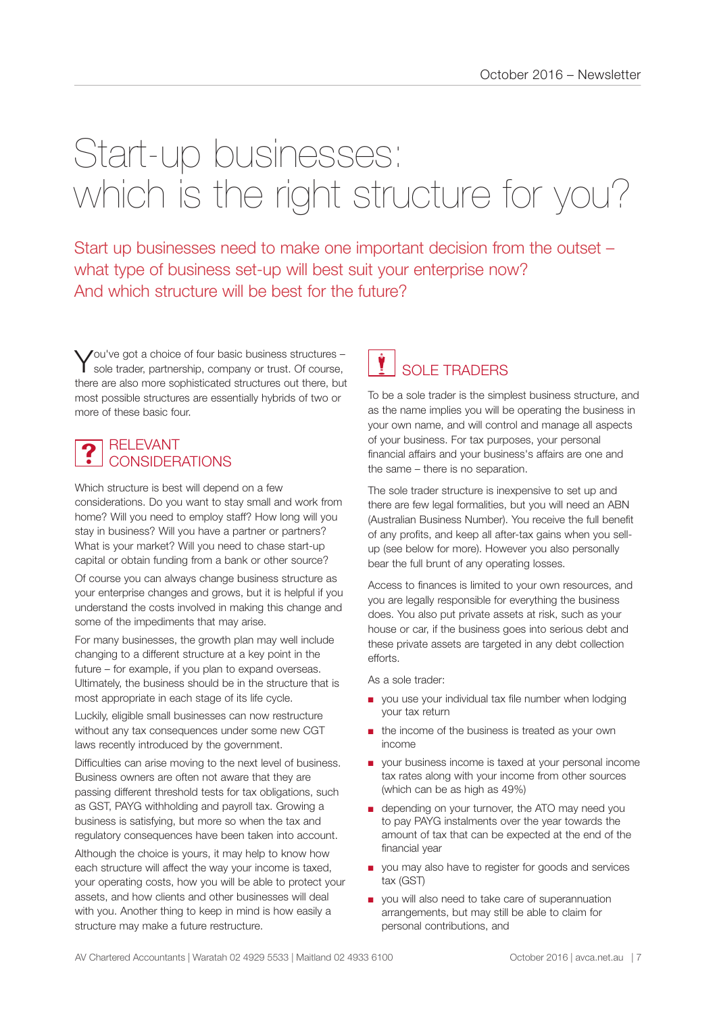# Start-up businesses: which is the right structure for you?

Start up businesses need to make one important decision from the outset – what type of business set-up will best suit your enterprise now? And which structure will be best for the future?

You've got a choice of four basic business structures -<br>Sole trader, partnership, company or trust. Of course, there are also more sophisticated structures out there, but most possible structures are essentially hybrids of two or more of these basic four.

#### RELEVANT CONSIDERATIONS  $\ddot{\textbf{?}}$

Which structure is best will depend on a few considerations. Do you want to stay small and work from home? Will you need to employ staff? How long will you stay in business? Will you have a partner or partners? What is your market? Will you need to chase start-up capital or obtain funding from a bank or other source?

Of course you can always change business structure as your enterprise changes and grows, but it is helpful if you understand the costs involved in making this change and some of the impediments that may arise.

For many businesses, the growth plan may well include changing to a different structure at a key point in the future – for example, if you plan to expand overseas. Ultimately, the business should be in the structure that is most appropriate in each stage of its life cycle.

Luckily, eligible small businesses can now restructure without any tax consequences under some new CGT laws recently introduced by the government.

Difficulties can arise moving to the next level of business. Business owners are often not aware that they are passing different threshold tests for tax obligations, such as GST, PAYG withholding and payroll tax. Growing a business is satisfying, but more so when the tax and regulatory consequences have been taken into account.

Although the choice is yours, it may help to know how each structure will affect the way your income is taxed, your operating costs, how you will be able to protect your assets, and how clients and other businesses will deal with you. Another thing to keep in mind is how easily a structure may make a future restructure.

# SOLE TRADERS **v**

To be a sole trader is the simplest business structure, and as the name implies you will be operating the business in your own name, and will control and manage all aspects of your business. For tax purposes, your personal financial affairs and your business's affairs are one and the same – there is no separation.

The sole trader structure is inexpensive to set up and there are few legal formalities, but you will need an ABN (Australian Business Number). You receive the full benefit of any profits, and keep all after-tax gains when you sellup (see below for more). However you also personally bear the full brunt of any operating losses.

Access to finances is limited to your own resources, and you are legally responsible for everything the business does. You also put private assets at risk, such as your house or car, if the business goes into serious debt and these private assets are targeted in any debt collection efforts.

As a sole trader:

- you use your individual tax file number when lodging your tax return
- the income of the business is treated as your own income
- your business income is taxed at your personal income tax rates along with your income from other sources (which can be as high as 49%)
- depending on your turnover, the ATO may need you to pay PAYG instalments over the year towards the amount of tax that can be expected at the end of the financial year
- you may also have to register for goods and services tax (GST)
- you will also need to take care of superannuation arrangements, but may still be able to claim for personal contributions, and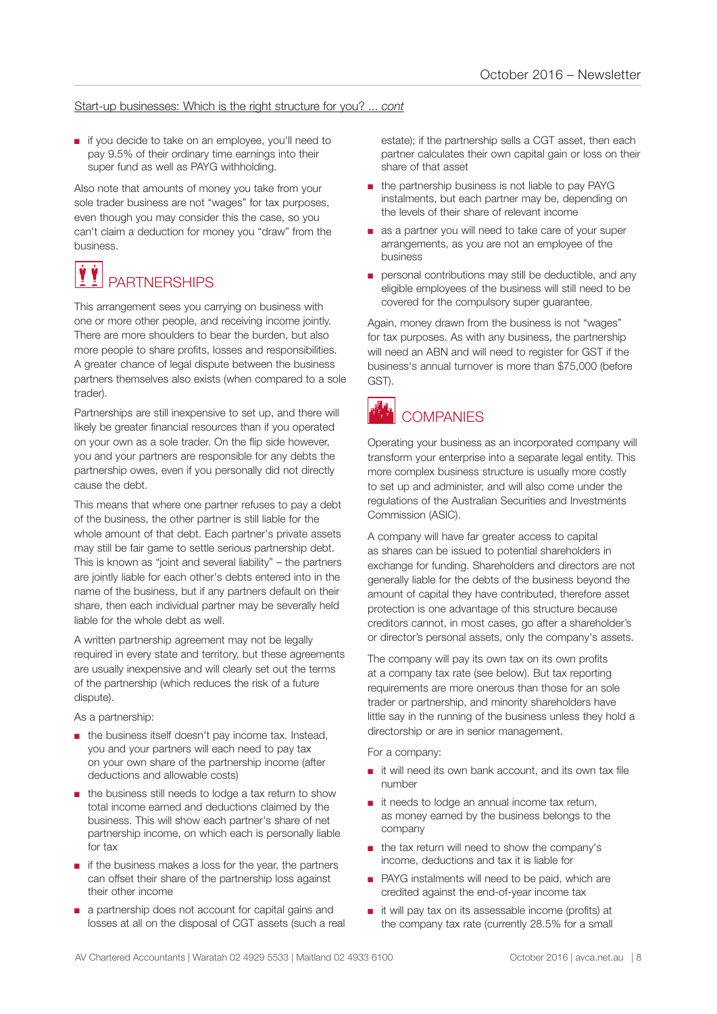#### Start-up businesses: Which is the right structure for you? ... *cont*

■ if you decide to take on an employee, you'll need to pay 9.5% of their ordinary time earnings into their super fund as well as PAYG withholding.

Also note that amounts of money you take from your sole trader business are not "wages" for tax purposes, even though you may consider this the case, so you can't claim a deduction for money you "draw" from the business.

### **PARTNERSHIPS** VÝ

This arrangement sees you carrying on business with one or more other people, and receiving income jointly. There are more shoulders to bear the burden, but also more people to share profits, losses and responsibilities. A greater chance of legal dispute between the business partners themselves also exists (when compared to a sole trader).

Partnerships are still inexpensive to set up, and there will likely be greater financial resources than if you operated on your own as a sole trader. On the flip side however, you and your partners are responsible for any debts the partnership owes, even if you personally did not directly cause the debt.

This means that where one partner refuses to pay a debt of the business, the other partner is still liable for the whole amount of that debt. Each partner's private assets may still be fair game to settle serious partnership debt. This is known as "joint and several liability" – the partners are jointly liable for each other's debts entered into in the name of the business, but if any partners default on their share, then each individual partner may be severally held liable for the whole debt as well.

A written partnership agreement may not be legally required in every state and territory, but these agreements are usually inexpensive and will clearly set out the terms of the partnership (which reduces the risk of a future dispute).

As a partnership:

- the business itself doesn't pay income tax. Instead, you and your partners will each need to pay tax on your own share of the partnership income (after deductions and allowable costs)
- the business still needs to lodge a tax return to show total income earned and deductions claimed by the business. This will show each partner's share of net partnership income, on which each is personally liable for tax
- if the business makes a loss for the year, the partners can offset their share of the partnership loss against their other income
- a partnership does not account for capital gains and losses at all on the disposal of CGT assets (such a real

estate); if the partnership sells a CGT asset, then each partner calculates their own capital gain or loss on their share of that asset

- the partnership business is not liable to pay PAYG instalments, but each partner may be, depending on the levels of their share of relevant income
- as a partner you will need to take care of your super arrangements, as you are not an employee of the business
- personal contributions may still be deductible, and any eligible employees of the business will still need to be covered for the compulsory super guarantee.

Again, money drawn from the business is not "wages" for tax purposes. As with any business, the partnership will need an ABN and will need to register for GST if the business's annual turnover is more than \$75,000 (before GST).



# **COMPANIES**

Operating your business as an incorporated company will transform your enterprise into a separate legal entity. This more complex business structure is usually more costly to set up and administer, and will also come under the regulations of the Australian Securities and Investments Commission (ASIC).

A company will have far greater access to capital as shares can be issued to potential shareholders in exchange for funding. Shareholders and directors are not generally liable for the debts of the business beyond the amount of capital they have contributed, therefore asset protection is one advantage of this structure because creditors cannot, in most cases, go after a shareholder's or director's personal assets, only the company's assets.

The company will pay its own tax on its own profits at a company tax rate (see below). But tax reporting requirements are more onerous than those for an sole trader or partnership, and minority shareholders have little say in the running of the business unless they hold a directorship or are in senior management.

For a company:

- it will need its own bank account, and its own tax file number
- it needs to lodge an annual income tax return, as money earned by the business belongs to the company
- the tax return will need to show the company's income, deductions and tax it is liable for
- PAYG instalments will need to be paid, which are credited against the end-of-year income tax
- it will pay tax on its assessable income (profits) at the company tax rate (currently 28.5% for a small